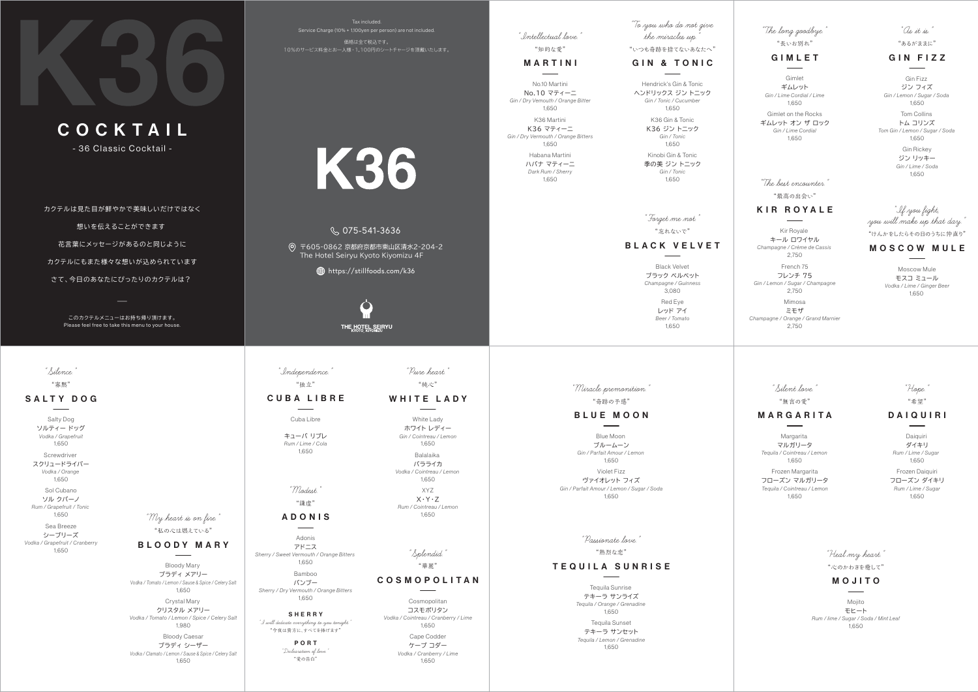

C O C K TA I L

- 36 Classic Cocktail -

カクテルは見た目が鮮やかで美味しいだけではなく

想いを伝えることができます

Please feel free to take this menu to your house. このカクテルメニューはお持ち帰り頂けます。

花言葉にメッセージがあるのと同じように

カクテルにもまた様々な想いが込められています

さて、今日のあなたにぴったりのカクテルは?

Tax included.Service Charge (10% + 1,100yen per person) are not included. 価格は全て税込です。 10%のサービス料金とお一人様・1,100円のシートチャージを頂戴いたします。

# K36

#### 075-541-3636

〒605-0862 京都府京都市東山区清水2-204-2 The Hotel Seiryu Kyoto Kiyomizu 4F

https://stillfoods.com/k36



No.10 マティーニNo.10 MartiniGin / Dry Vemouth / Orange Bitter 1,650

K36 マティーニ Gin / Dry Vermouth / Orange Bitters K36 Martini 1,650

> ハバナ マティーニ Dark Rum / Sherry Habana Martini 1,650

#### MARTINI

"Intellectual love."

"知的な愛"

ヘンドリックス ジン トニックHendrick's Gin & Tonic Gin / Tonic / Cucumber 1,650

> K36 ジン トニックK36 Gin & Tonic Gin / Tonic 1,650

季の美 ジン トニックKinobi Gin & TonicGin / Tonic1,650

#### GIN FIZZ $\frac{1}{2}$

GIN & TONIC

"To you who do not give the miracles up."

"いつも奇跡を捨てないあなたへ"

モスコ ミュール Vodka / Lime / Ginger Beer Moscow Mule1,650

#### MOSCOW MULE

"If you fight, you will make up that day."

"けんかをしたらその日のうちに仲直り"

キール ロワイヤルKir Royale Champagne / Crème de Cassis 2,750

フレンチ 75French 75Gin / Lemon / Sugar / Champagne 2,750

ミモザ Champagne / Orange / Grand Marnier Mimosa 2,750

"The best encounter."

"最高の出会い"

# **KIR ROYALE**

ブラック ベルベットBlack Velvet Champagne / Guinness 3,080

> レッド アイ Red Eye Beer / Tomato1,650

#### B L AC K V E LV E T

"Forget me not."

"忘れないで"

#### ADONIS $\overline{\phantom{a}}$

ジン フィズ Gin Fizz Gin / Lemon / Sugar / Soda 1,650

トム コリンズ Tom Gin / Lemon / Sugar / Soda ジン リッキーTom Collins Gin Rickey 1,650

 Gin / Lime / Soda 1,650

#### DAIQUIRI  $\overline{\phantom{a}}$

"As it is."

"あるがままに"

#### MOJITO $\overline{\phantom{a}}$

ギムレット GimletGin / Lime Cordial / Lime1,650

ギムレット オン ザ ロック Gimlet on the RocksGin / Lime Cordial1,650

#### GIMLET

"The long goodbye." "長いお別れ"

キューバ リブレRum / Lime / Cola1,650

Cuba LibreCUBA LIBRE

"Independence." "独立"

ソルティー ドッグ Vodka / Grapefruit Salty Dog 1,650

スクリュードライバーScrewdriver Vodka / Orange 1,650

ソル クバーノ Rum / Grapefruit / Tonic Sol Cubano 1,650

シーブリーズ Vodka / Grapefruit / Cranberry Sea Breeze1,650

"Silence."

"寡黙"

#### SALTY DOG

ブラディ メアリーBloody Mary Vodka / Tomato / Lemon / Sause & Spice / Celery Salt 1,650

クリスタル メアリーVodka / Tomato / Lemon / Spice / Celery Salt Crystal Mary 1,980

ブラディ シーザー Vodka / Clamato / Lemon / Sause & Spice / Celery Salt Bloody Caesar 1,650

# BLOODY MARY

"My heart is on fire." "私の心は燃えている"

> コスモポリタン Cosmopolitan Vodka / Cointreau / Cranberry / Lime 1,650

> > ケープ コダーCape Codder Vodka / Cranberry / Lime 1,650

# C O S M O P O L I TA N

"Splendid."

"華麗"

ホワイト レディー White Lady Gin / Cointreau / Lemon 1,650

バラライカBalalaika Vodka / Cointreau / Lemon 1,650

X・Y・Z XYZ Rum / Cointreau / Lemon 1,650

"Pure heart."

# "純心"

#### WHITE LADY

アドニス Sherry / Sweet Vermouth / Orange Bitters Adonis1,650

バンブー Sherry / Dry Vermouth / Orange Bitters Bamboo 1,650

"Modest."

"謙虚"

SHERRY"I will dedicate everything to you tonight." "今夜は貴方に、すべてを捧げます"

> PORT "Declearation of love." "愛の告白"

ダイキリ Rum / Lime / Sugar Daiquiri 1,650

フローズン ダイキリ Rum / Lime / Sugar Frozen Daiquiri 1,650

"Hope." "希望"

マルガリータMargarita Tequila / Cointreau / Lemon 1,650

フローズン マルガリータ Tequila / Cointreau / Lemon Frozen Margarita 1,650

#### M A R G A R I TA

# "Silent love."

"無言の愛"

モヒート Rum / lime / Sugar / Soda / Mint Leaf Mojito 1,650

"Heal my heart." "心のかわきを癒して"

テキーラ サンライズ Tequila / Orange / Grenadine Tequila Sunrise Tequila Sunset 1,650

テキーラ サンセットTequila / Lemon / Grenadine 1,650

#### TEQUILA SUNRISE

"Passionate love."

"熱烈な恋"

ブルームーン Gin / Parfait Amour / Lemon Blue Moon 1,650

ヴァイオレット フィズ Gin / Parfait Amour / Lemon / Sugar / Soda Violet Fizz1,650

# BLUE MOON

 $\frac{1}{1}$ 

"Miracle premonition." "奇跡の予感"